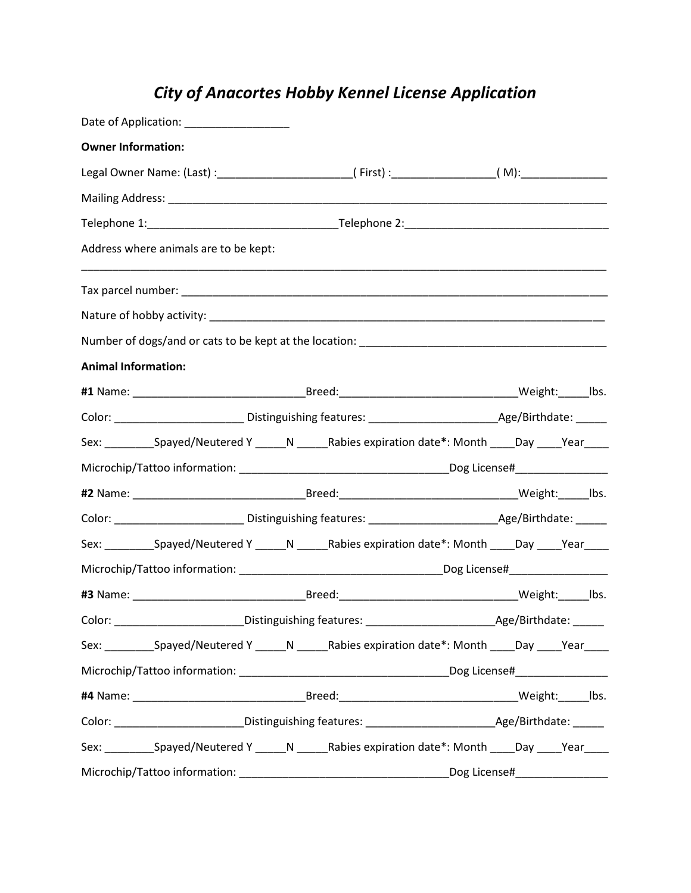## *City of Anacortes Hobby Kennel License Application*

| Date of Application: ___________________ |                                                                                                         |  |
|------------------------------------------|---------------------------------------------------------------------------------------------------------|--|
| <b>Owner Information:</b>                |                                                                                                         |  |
|                                          | Legal Owner Name: (Last) :___________________________(First) :__________________(M):________________    |  |
|                                          |                                                                                                         |  |
|                                          |                                                                                                         |  |
| Address where animals are to be kept:    |                                                                                                         |  |
|                                          |                                                                                                         |  |
|                                          |                                                                                                         |  |
|                                          |                                                                                                         |  |
| <b>Animal Information:</b>               |                                                                                                         |  |
|                                          |                                                                                                         |  |
|                                          |                                                                                                         |  |
|                                          | Sex: ___________Spayed/Neutered Y ______N _______Rabies expiration date*: Month ____Day ____Year____    |  |
|                                          |                                                                                                         |  |
|                                          |                                                                                                         |  |
|                                          |                                                                                                         |  |
|                                          | Sex: ___________Spayed/Neutered Y ______N _______Rabies expiration date*: Month _____Day _____Year_____ |  |
|                                          |                                                                                                         |  |
|                                          |                                                                                                         |  |
|                                          |                                                                                                         |  |
|                                          | Sex: ___________Spayed/Neutered Y ______N _______Rabies expiration date*: Month _____Day _____Year_____ |  |
|                                          |                                                                                                         |  |
|                                          |                                                                                                         |  |
|                                          |                                                                                                         |  |
|                                          | Sex: ___________Spayed/Neutered Y ______N _______Rabies expiration date*: Month _____Day _____Year_____ |  |
|                                          |                                                                                                         |  |